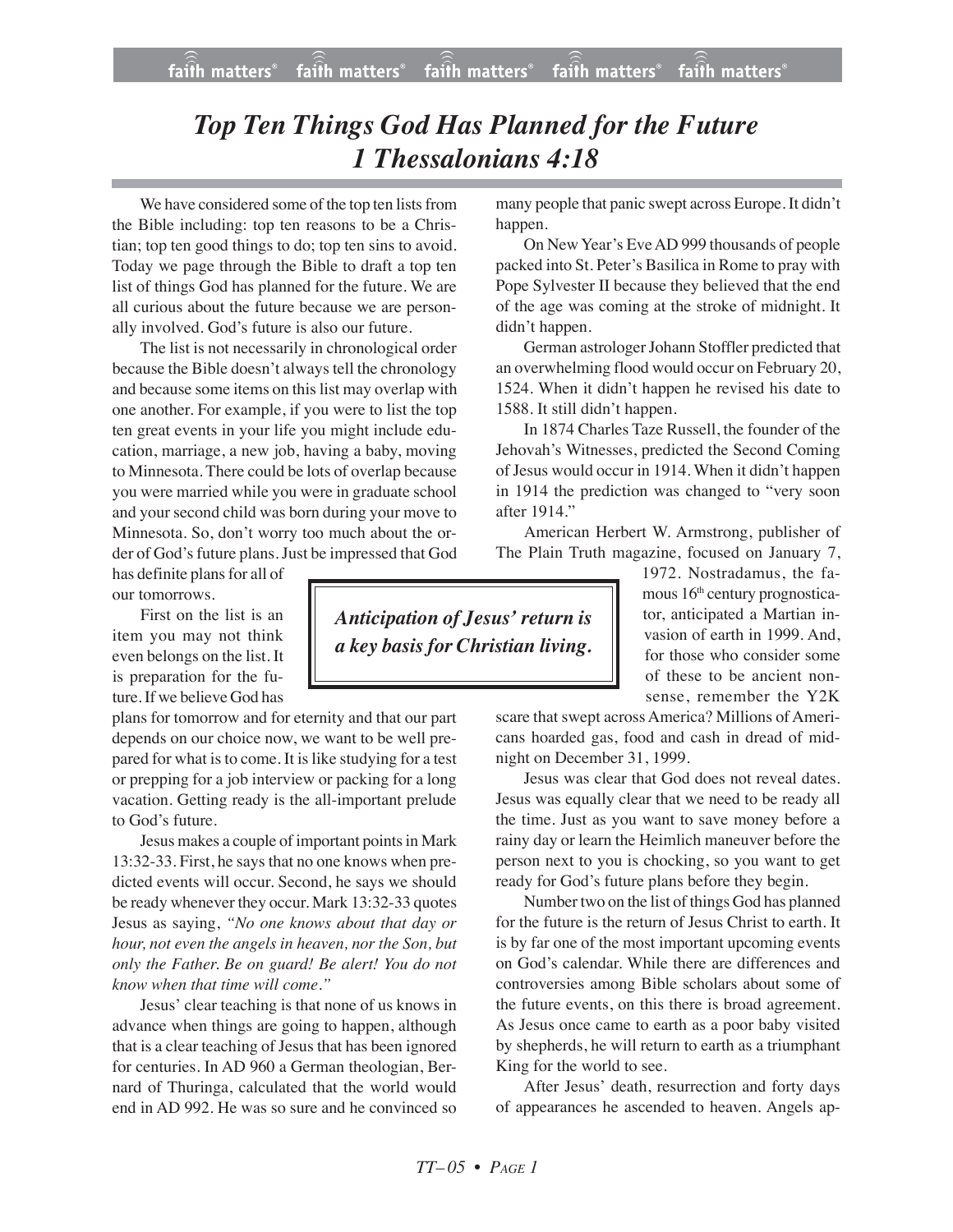## *Top Ten Things God Has Planned for the Future 1 Thessalonians 4:18*

We have considered some of the top ten lists from the Bible including: top ten reasons to be a Christian; top ten good things to do; top ten sins to avoid. Today we page through the Bible to draft a top ten list of things God has planned for the future. We are all curious about the future because we are personally involved. God's future is also our future.

The list is not necessarily in chronological order because the Bible doesn't always tell the chronology and because some items on this list may overlap with one another. For example, if you were to list the top ten great events in your life you might include education, marriage, a new job, having a baby, moving to Minnesota. There could be lots of overlap because you were married while you were in graduate school and your second child was born during your move to Minnesota. So, don't worry too much about the order of God's future plans. Just be impressed that God

has definite plans for all of our tomorrows.

First on the list is an item you may not think even belongs on the list. It is preparation for the future. If we believe God has

plans for tomorrow and for eternity and that our part depends on our choice now, we want to be well prepared for what is to come. It is like studying for a test or prepping for a job interview or packing for a long vacation. Getting ready is the all-important prelude to God's future.

Jesus makes a couple of important points in Mark 13:32-33. First, he says that no one knows when predicted events will occur. Second, he says we should be ready whenever they occur. Mark 13:32-33 quotes Jesus as saying, *"No one knows about that day or hour, not even the angels in heaven, nor the Son, but only the Father. Be on guard! Be alert! You do not know when that time will come."*

Jesus' clear teaching is that none of us knows in advance when things are going to happen, although that is a clear teaching of Jesus that has been ignored for centuries. In AD 960 a German theologian, Bernard of Thuringa, calculated that the world would end in AD 992. He was so sure and he convinced so many people that panic swept across Europe. It didn't happen.

On New Year's EveAD 999 thousands of people packed into St. Peter's Basilica in Rome to pray with Pope Sylvester II because they believed that the end of the age was coming at the stroke of midnight. It didn't happen.

German astrologer Johann Stoffler predicted that an overwhelming flood would occur on February 20, 1524. When it didn't happen he revised his date to 1588. It still didn't happen.

In 1874 Charles Taze Russell, the founder of the Jehovah's Witnesses, predicted the Second Coming of Jesus would occur in 1914. When it didn't happen in 1914 the prediction was changed to "very soon after 1914."

American Herbert W. Armstrong, publisher of The Plain Truth magazine, focused on January 7,

> 1972. Nostradamus, the famous 16<sup>th</sup> century prognosticator, anticipated a Martian invasion of earth in 1999. And, for those who consider some of these to be ancient nonsense, remember the Y2K

scare that swept across America? Millions of Americans hoarded gas, food and cash in dread of midnight on December 31, 1999.

Jesus was clear that God does not reveal dates. Jesus was equally clear that we need to be ready all the time. Just as you want to save money before a rainy day or learn the Heimlich maneuver before the person next to you is chocking, so you want to get ready for God's future plans before they begin.

Number two on the list of things God has planned for the future is the return of Jesus Christ to earth. It is by far one of the most important upcoming events on God's calendar. While there are differences and controversies among Bible scholars about some of the future events, on this there is broad agreement. As Jesus once came to earth as a poor baby visited by shepherds, he will return to earth as a triumphant King for the world to see.

After Jesus' death, resurrection and forty days of appearances he ascended to heaven. Angels ap-

*Anticipation of Jesus' return is a key basis for Christian living.*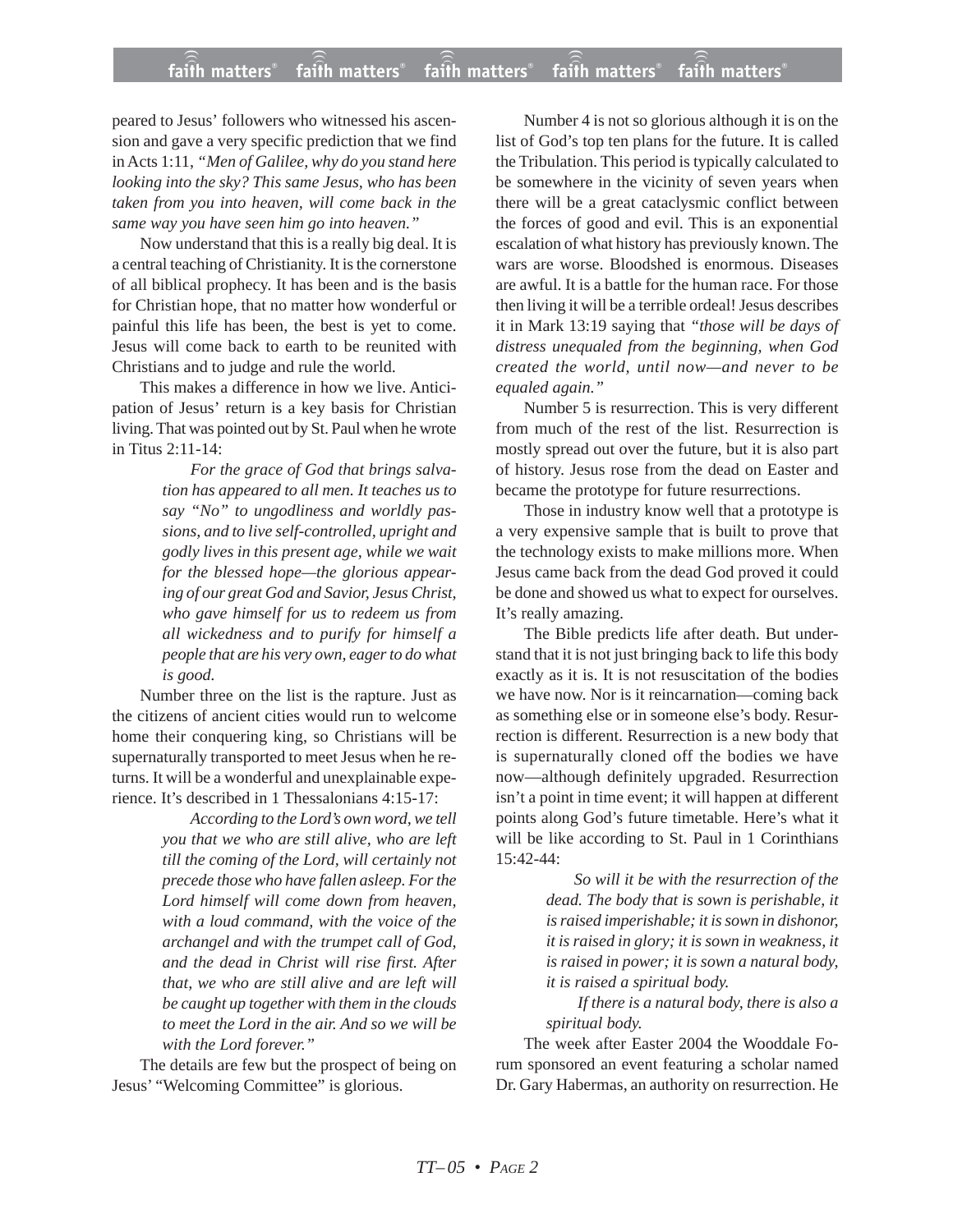peared to Jesus' followers who witnessed his ascension and gave a very specific prediction that we find in Acts 1:11, *"Men of Galilee, why do you stand here looking into the sky? This same Jesus, who has been taken from you into heaven, will come back in the same way you have seen him go into heaven."*

Now understand that this is a really big deal. It is a central teaching of Christianity. It is the cornerstone of all biblical prophecy. It has been and is the basis for Christian hope, that no matter how wonderful or painful this life has been, the best is yet to come. Jesus will come back to earth to be reunited with Christians and to judge and rule the world.

This makes a difference in how we live. Anticipation of Jesus' return is a key basis for Christian living. That was pointed out by St. Paul when he wrote in Titus 2:11-14:

> *For the grace of God that brings salvation has appeared to all men. It teaches us to say "No" to ungodliness and worldly passions, and to live self-controlled, upright and godly lives in this present age, while we wait for the blessed hope—the glorious appearing of our great God and Savior, Jesus Christ, who gave himself for us to redeem us from all wickedness and to purify for himself a people that are his very own, eager to do what is good.*

Number three on the list is the rapture. Just as the citizens of ancient cities would run to welcome home their conquering king, so Christians will be supernaturally transported to meet Jesus when he returns. It will be a wonderful and unexplainable experience. It's described in 1 Thessalonians 4:15-17:

> *According to the Lord's own word, we tell you that we who are still alive, who are left till the coming of the Lord, will certainly not precede those who have fallen asleep. For the Lord himself will come down from heaven, with a loud command, with the voice of the archangel and with the trumpet call of God, and the dead in Christ will rise first. After that, we who are still alive and are left will be caught up together with them in the clouds to meet the Lord in the air. And so we will be with the Lord forever."*

The details are few but the prospect of being on Jesus' "Welcoming Committee" is glorious.

Number 4 is not so glorious although it is on the list of God's top ten plans for the future. It is called the Tribulation. This period is typically calculated to be somewhere in the vicinity of seven years when there will be a great cataclysmic conflict between the forces of good and evil. This is an exponential escalation of what history has previously known. The wars are worse. Bloodshed is enormous. Diseases are awful. It is a battle for the human race. For those then living it will be a terrible ordeal! Jesus describes it in Mark 13:19 saying that *"those will be days of distress unequaled from the beginning, when God created the world, until now—and never to be equaled again."*

Number 5 is resurrection. This is very different from much of the rest of the list. Resurrection is mostly spread out over the future, but it is also part of history. Jesus rose from the dead on Easter and became the prototype for future resurrections.

Those in industry know well that a prototype is a very expensive sample that is built to prove that the technology exists to make millions more. When Jesus came back from the dead God proved it could be done and showed us what to expect for ourselves. It's really amazing.

The Bible predicts life after death. But understand that it is not just bringing back to life this body exactly as it is. It is not resuscitation of the bodies we have now. Nor is it reincarnation—coming back as something else or in someone else's body. Resurrection is different. Resurrection is a new body that is supernaturally cloned off the bodies we have now—although definitely upgraded. Resurrection isn't a point in time event; it will happen at different points along God's future timetable. Here's what it will be like according to St. Paul in 1 Corinthians 15:42-44:

> *So will it be with the resurrection of the dead. The body that is sown is perishable, it is raised imperishable; it is sown in dishonor, it is raised in glory; it is sown in weakness, it is raised in power; it is sown a natural body, it is raised a spiritual body.*

> *If there is a natural body, there is also a spiritual body.*

The week after Easter 2004 the Wooddale Forum sponsored an event featuring a scholar named Dr. Gary Habermas, an authority on resurrection. He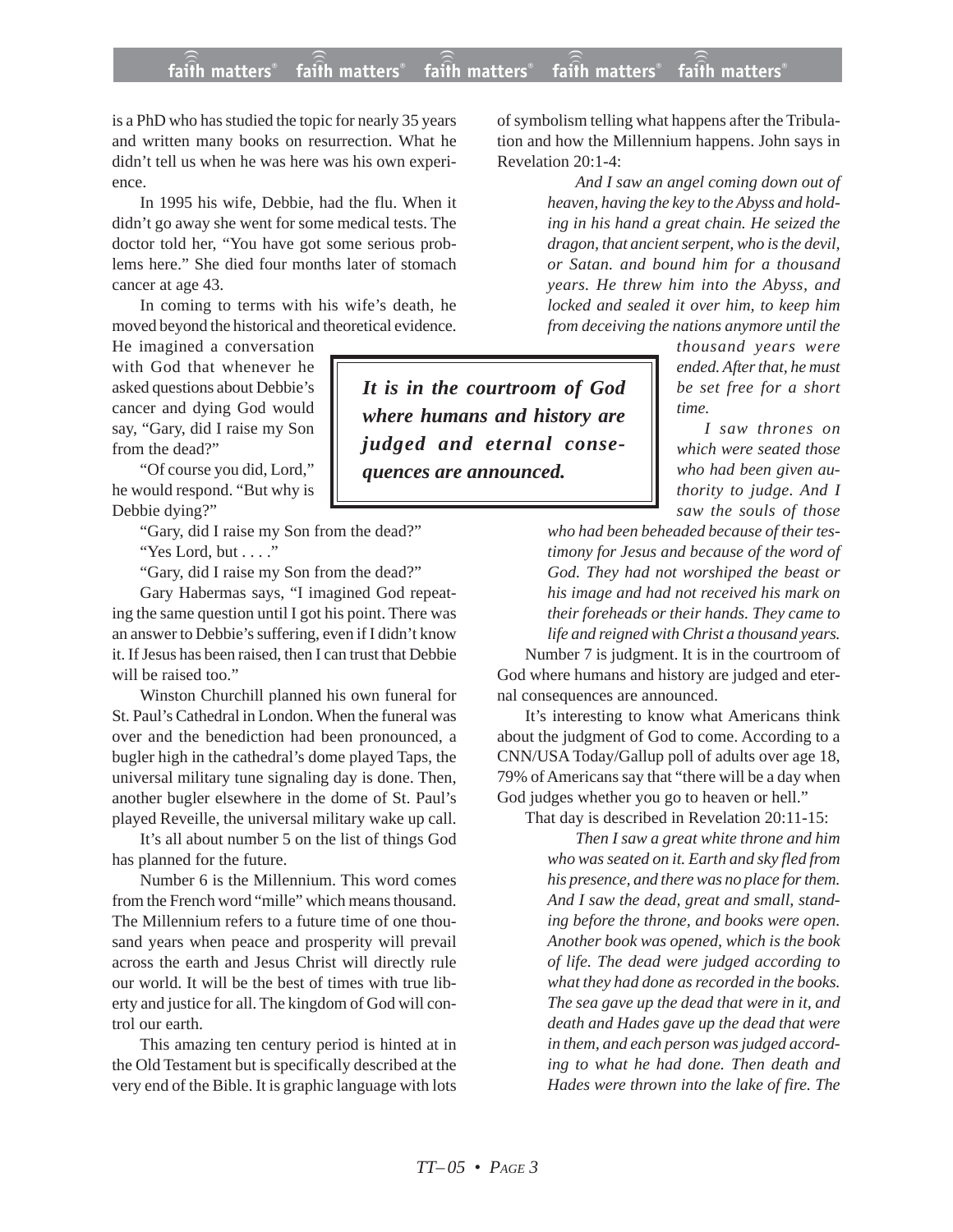## **faith matters® faith matters® faith matters® faith matters® faith matters®** ))) ))) faith matters<sup>®</sup> faith matters® faith matters

*quences are announced.*

is a PhD who has studied the topic for nearly 35 years and written many books on resurrection. What he didn't tell us when he was here was his own experience.

In 1995 his wife, Debbie, had the flu. When it didn't go away she went for some medical tests. The doctor told her, "You have got some serious problems here." She died four months later of stomach cancer at age 43.

In coming to terms with his wife's death, he moved beyond the historical and theoretical evidence.

He imagined a conversation with God that whenever he asked questions about Debbie's cancer and dying God would say, "Gary, did I raise my Son from the dead?"

"Of course you did, Lord," he would respond. "But why is Debbie dying?"

> "Gary, did I raise my Son from the dead?" "Yes Lord, but . . . ."

> "Gary, did I raise my Son from the dead?"

Gary Habermas says, "I imagined God repeating the same question until I got his point. There was an answer to Debbie's suffering, even if I didn't know it. If Jesus has been raised, then I can trust that Debbie will be raised too."

Winston Churchill planned his own funeral for St. Paul's Cathedral in London. When the funeral was over and the benediction had been pronounced, a bugler high in the cathedral's dome played Taps, the universal military tune signaling day is done. Then, another bugler elsewhere in the dome of St. Paul's played Reveille, the universal military wake up call.

It's all about number 5 on the list of things God has planned for the future.

Number 6 is the Millennium. This word comes from the French word "mille" which means thousand. The Millennium refers to a future time of one thousand years when peace and prosperity will prevail across the earth and Jesus Christ will directly rule our world. It will be the best of times with true liberty and justice for all. The kingdom of God will control our earth.

This amazing ten century period is hinted at in the Old Testament but is specifically described at the very end of the Bible. It is graphic language with lots of symbolism telling what happens after the Tribulation and how the Millennium happens. John says in Revelation 20:1-4:

> *And I saw an angel coming down out of heaven, having the key to the Abyss and holding in his hand a great chain. He seized the dragon, that ancient serpent, who is the devil, or Satan. and bound him for a thousand years. He threw him into the Abyss, and locked and sealed it over him, to keep him from deceiving the nations anymore until the*

*time. It is in the courtroom of God where humans and history are judged and eternal conse-*

*thousand years were ended. After that, he must be set free for a short*

*I saw thrones on which were seated those who had been given authority to judge. And I saw the souls of those*

*who had been beheaded because of their testimony for Jesus and because of the word of God. They had not worshiped the beast or his image and had not received his mark on their foreheads or their hands. They came to life and reigned with Christ a thousand years.*

Number 7 is judgment. It is in the courtroom of God where humans and history are judged and eternal consequences are announced.

It's interesting to know what Americans think about the judgment of God to come. According to a CNN/USA Today/Gallup poll of adults over age 18, 79% of Americans say that "there will be a day when God judges whether you go to heaven or hell."

That day is described in Revelation 20:11-15:

*Then I saw a great white throne and him who was seated on it. Earth and sky fled from his presence, and there was no place for them. And I saw the dead, great and small, standing before the throne, and books were open. Another book was opened, which is the book of life. The dead were judged according to what they had done as recorded in the books. The sea gave up the dead that were in it, and death and Hades gave up the dead that were in them, and each person was judged according to what he had done. Then death and Hades were thrown into the lake of fire. The*